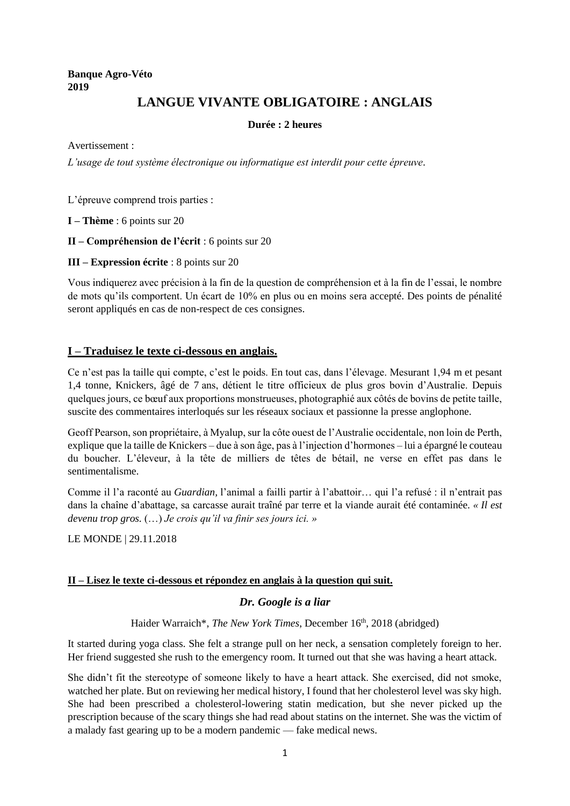## **Banque Agro-Véto 2019**

# **LANGUE VIVANTE OBLIGATOIRE : ANGLAIS**

#### **Durée : 2 heures**

Avertissement :

*L'usage de tout système électronique ou informatique est interdit pour cette épreuve.*

L'épreuve comprend trois parties :

**I – Thème** : 6 points sur 20

- **II – Compréhension de l'écrit** : 6 points sur 20
- **III – Expression écrite** : 8 points sur 20

Vous indiquerez avec précision à la fin de la question de compréhension et à la fin de l'essai, le nombre de mots qu'ils comportent. Un écart de 10% en plus ou en moins sera accepté. Des points de pénalité seront appliqués en cas de non-respect de ces consignes.

### **I – Traduisez le texte ci-dessous en anglais.**

Ce n'est pas la taille qui compte, c'est le poids. En tout cas, dans l'élevage. Mesurant 1,94 m et pesant 1,4 tonne, Knickers, âgé de 7 ans, détient le titre officieux de plus gros bovin d'Australie. Depuis quelques jours, ce bœuf aux proportions monstrueuses, photographié aux côtés de bovins de petite taille, suscite des commentaires interloqués sur les réseaux sociaux et passionne la presse anglophone.

Geoff Pearson, son propriétaire, à Myalup, sur la côte ouest de l'Australie occidentale, non loin de Perth, explique que la taille de Knickers – due à son âge, pas à l'injection d'hormones – lui a épargné le couteau du boucher. L'éleveur, à la tête de milliers de têtes de bétail, ne verse en effet pas dans le sentimentalisme.

Comme il l'a raconté au *Guardian,* l'animal a failli partir à l'abattoir… qui l'a refusé : il n'entrait pas dans la chaîne d'abattage, sa carcasse aurait traîné par terre et la viande aurait été contaminée. *« Il est devenu trop gros.* (…) *Je crois qu'il va finir ses jours ici. »*

LE MONDE | 29.11.2018

#### **II – Lisez le texte ci-dessous et répondez en anglais à la question qui suit.**

#### *Dr. Google is a liar*

Haider Warraich\*, *The New York Times*, December 16th, 2018 (abridged)

It started during yoga class. She felt a strange pull on her neck, a sensation completely foreign to her. Her friend suggested she rush to the emergency room. It turned out that she was having a heart attack.

She didn't fit the stereotype of someone likely to have a heart attack. She exercised, did not smoke, watched her plate. But on reviewing her medical history, I found that her cholesterol level was sky high. She had been prescribed a cholesterol-lowering statin medication, but she never picked up the prescription because of the scary things she had read about statins on the internet. She was the victim of a malady fast gearing up to be a modern pandemic — fake medical news.